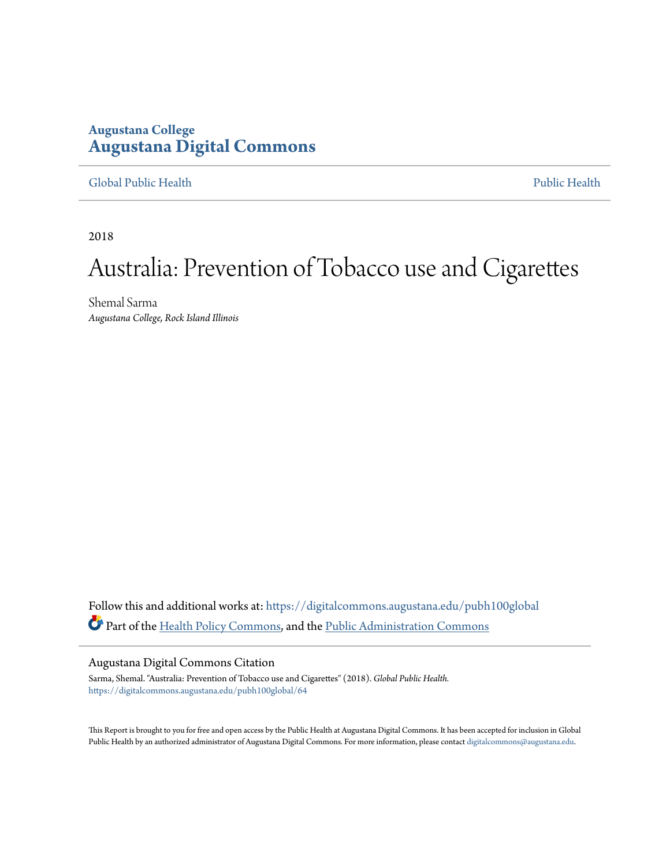## **Augustana College [Augustana Digital Commons](https://digitalcommons.augustana.edu?utm_source=digitalcommons.augustana.edu%2Fpubh100global%2F64&utm_medium=PDF&utm_campaign=PDFCoverPages)**

#### [Global Public Health](https://digitalcommons.augustana.edu/pubh100global?utm_source=digitalcommons.augustana.edu%2Fpubh100global%2F64&utm_medium=PDF&utm_campaign=PDFCoverPages) [Public Health](https://digitalcommons.augustana.edu/publichealth?utm_source=digitalcommons.augustana.edu%2Fpubh100global%2F64&utm_medium=PDF&utm_campaign=PDFCoverPages)

2018

# Australia: Prevention of Tobacco use and Cigarettes

Shemal Sarma *Augustana College, Rock Island Illinois*

Follow this and additional works at: [https://digitalcommons.augustana.edu/pubh100global](https://digitalcommons.augustana.edu/pubh100global?utm_source=digitalcommons.augustana.edu%2Fpubh100global%2F64&utm_medium=PDF&utm_campaign=PDFCoverPages) Part of the [Health Policy Commons,](http://network.bepress.com/hgg/discipline/395?utm_source=digitalcommons.augustana.edu%2Fpubh100global%2F64&utm_medium=PDF&utm_campaign=PDFCoverPages) and the [Public Administration Commons](http://network.bepress.com/hgg/discipline/398?utm_source=digitalcommons.augustana.edu%2Fpubh100global%2F64&utm_medium=PDF&utm_campaign=PDFCoverPages)

#### Augustana Digital Commons Citation

Sarma, Shemal. "Australia: Prevention of Tobacco use and Cigarettes" (2018). *Global Public Health.* [https://digitalcommons.augustana.edu/pubh100global/64](https://digitalcommons.augustana.edu/pubh100global/64?utm_source=digitalcommons.augustana.edu%2Fpubh100global%2F64&utm_medium=PDF&utm_campaign=PDFCoverPages)

This Report is brought to you for free and open access by the Public Health at Augustana Digital Commons. It has been accepted for inclusion in Global Public Health by an authorized administrator of Augustana Digital Commons. For more information, please contact [digitalcommons@augustana.edu.](mailto:digitalcommons@augustana.edu)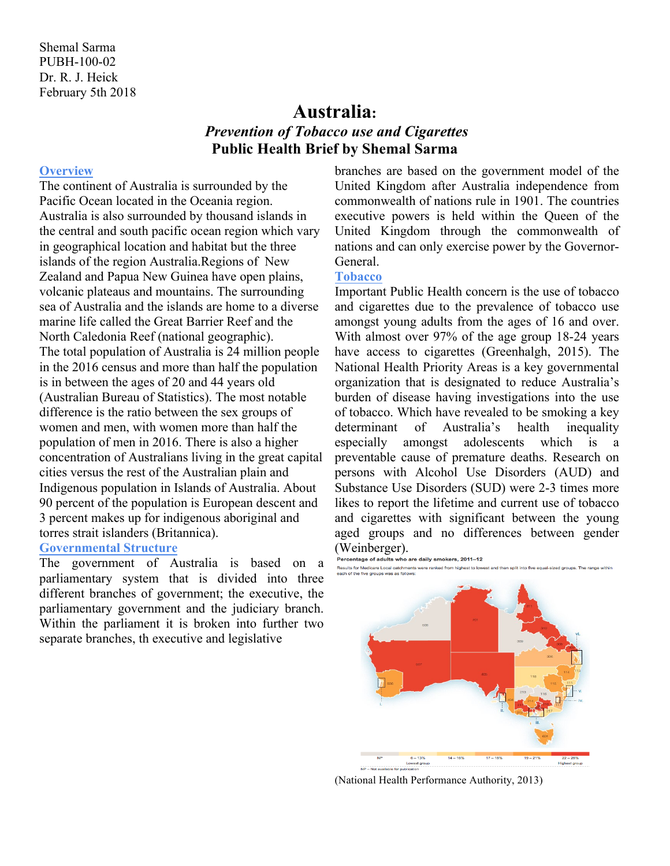# **Australia:** *Prevention of Tobacco use and Cigarettes* **Public Health Brief by Shemal Sarma**

#### **Overview**

The continent of Australia is surrounded by the Pacific Ocean located in the Oceania region. Australia is also surrounded by thousand islands in the central and south pacific ocean region which vary in geographical location and habitat but the three islands of the region Australia.Regions of New Zealand and Papua New Guinea have open plains, volcanic plateaus and mountains. The surrounding sea of Australia and the islands are home to a diverse marine life called the Great Barrier Reef and the North Caledonia Reef (national geographic). The total population of Australia is 24 million people in the 2016 census and more than half the population is in between the ages of 20 and 44 years old (Australian Bureau of Statistics). The most notable difference is the ratio between the sex groups of women and men, with women more than half the population of men in 2016. There is also a higher concentration of Australians living in the great capital cities versus the rest of the Australian plain and Indigenous population in Islands of Australia. About 90 percent of the population is European descent and 3 percent makes up for indigenous aboriginal and torres strait islanders (Britannica).

### **Governmental Structure**

The government of Australia is based on a parliamentary system that is divided into three different branches of government; the executive, the parliamentary government and the judiciary branch. Within the parliament it is broken into further two separate branches, th executive and legislative

branches are based on the government model of the United Kingdom after Australia independence from commonwealth of nations rule in 1901. The countries executive powers is held within the Queen of the United Kingdom through the commonwealth of nations and can only exercise power by the Governor-**General** 

## **Tobacco**

Important Public Health concern is the use of tobacco and cigarettes due to the prevalence of tobacco use amongst young adults from the ages of 16 and over. With almost over 97% of the age group 18-24 years have access to cigarettes (Greenhalgh, 2015). The National Health Priority Areas is a key governmental organization that is designated to reduce Australia's burden of disease having investigations into the use of tobacco. Which have revealed to be smoking a key determinant of Australia's health inequality especially amongst adolescents which is a preventable cause of premature deaths. Research on persons with Alcohol Use Disorders (AUD) and Substance Use Disorders (SUD) were 2-3 times more likes to report the lifetime and current use of tobacco and cigarettes with significant between the young aged groups and no differences between gender (Weinberger).<br>Percentage of adults who .



(National Health Performance Authority, 2013)